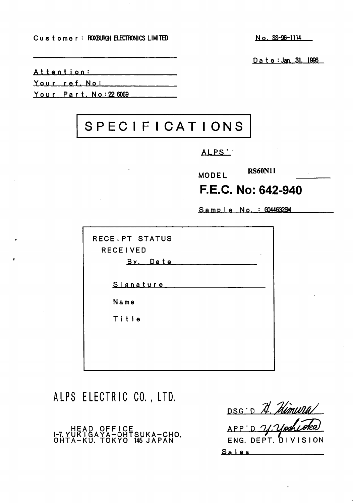Customer : ROXBURGH ELECTRONICS LIMITED No. SS-96-1114

D a t e : Jan. 31. 1996

Attention:

Your ref. No:

Your Part. No: 22 6069

## SPEC IFICATIONS

ALPS '

RS60N11 MODEL

## F.E.C. No: 642-940

Sample No. : G0446326M

ALPS ELECTRIC CO., LTD.

HEAD OFFICE 1-7. YUK I GAYA-OHTSUKA-CHO. OHTA-KU. TOKYO 145 JAPAN

DSG .D N. Himwra/ APP'D U.Vas ENG. DEPT. DIVISION Sales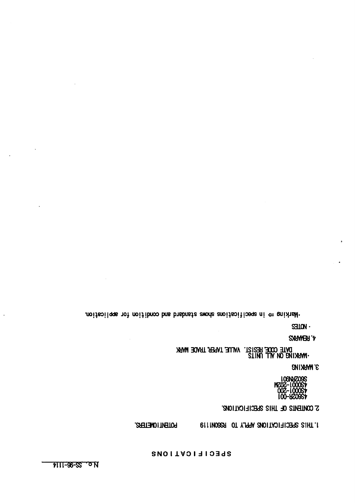$\ddot{\phantom{a}}$ 

 $\sim$ 

ł,

## SPECIFICATIONS

POTENTIONE THAT APPLY OF REGISTERS. RS60N1119 TO HOLD APPLICATIONS 1.

S CONTENTS OF THIS SPECIFICATIONS.

. . . . . **. . .** . . 4S0001-200 4S00O1-2Q2M S602RN901

MARKING 3.

UNITS ALL ON 1988 IN 1988 IN 1988. ARAM TAPILATI TRADUK. JIA LATI TAPA TILAR

4.RBIARKS

 $\mathbf{GJUN}$ .

. The integral condition and shows shows specifically specifications in  $\Leftarrow$  specifications in  $\Leftarrow$  specifications in  $\Leftarrow$  specifications in  $\Leftarrow$  specifications in  $\Leftarrow$  specifications in  $\Leftarrow$  specifications in  $\Leftarrow$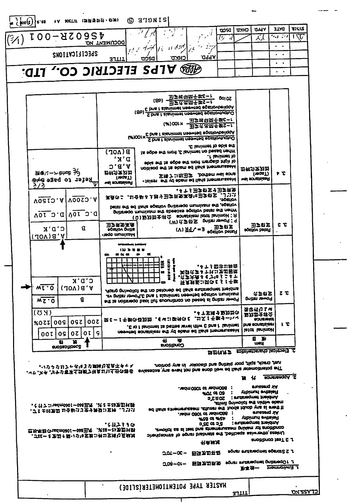| $=$ $\frac{1}{2}$ $\cos(z)$ $\cos$<br>1人 30のアル (調節書出土・初知)<br>$(\%)$ IOO-BIO9SF                                                                     | (S)                                                                         | <b>SINGLE</b>                                                                                                                                                                                                                                                                                                                                                                     |                                                                                                                 | posa<br>ル              | <b>APPL</b><br>CHKD<br>メノ                                                                                                                                           | <b>JTAG</b><br>$\sim$ $\epsilon$ , $\sim$ $\epsilon$ | <b>BILLS</b><br>ᠯᡪ᠋ᢑ |
|----------------------------------------------------------------------------------------------------------------------------------------------------|-----------------------------------------------------------------------------|-----------------------------------------------------------------------------------------------------------------------------------------------------------------------------------------------------------------------------------------------------------------------------------------------------------------------------------------------------------------------------------|-----------------------------------------------------------------------------------------------------------------|------------------------|---------------------------------------------------------------------------------------------------------------------------------------------------------------------|------------------------------------------------------|----------------------|
| SNOITA31710398                                                                                                                                     | DOCUMENT NO.<br><b>EITLE</b>                                                | $\mu$ / $\rightarrow$ $\rightarrow$ $\mu$ / $\mu$ / $\sigma$ / $\sim$<br>כאויבס<br>DZCD                                                                                                                                                                                                                                                                                           | -17<br>75<br><u>.a99a</u>                                                                                       |                        |                                                                                                                                                                     | $\bullet$ $\bullet$                                  |                      |
| <b>SEE STECTRIC CO., LTD.</b>                                                                                                                      |                                                                             |                                                                                                                                                                                                                                                                                                                                                                                   |                                                                                                                 |                        |                                                                                                                                                                     | $\cdot$ $\cdot$<br>$\bullet$                         |                      |
| <i>₩\$☆∽≫<del>\$≠\$</del>≯</i><br>$\hat{\mathbf{H}}$ ster to page $\hat{\mathbf{h}}$                                                               | (%)00Lx<br>$B(\Lambda$ OP)<br>"א ' מ<br>$A$ , $B$ , $C$<br>むれがまなか<br>(Tage) | (Bb) - 日子六出四千岁5-1<br>E bns I zlanimet neewted egislovbeilgoA<br>(gb) 2 bns I slanimet neewed eggitovtuatuO<br>C bns I slanimet neewed egatlovbeilop.<br>S brist stanimist neewed spationnand<br>18 egbs ert mort £ lanimet no bezad nertW<br>obis ert is egbs ert mon mengelb inigh lo<br>notrizoq orti ta ebam ed llarla thematuazeM<br>-taiest ort yd obam od llada tnemstuaeaM | 玉字成型阿千字6-1<br>(%)001× 由于我国的社会(-1)<br>(%)001× 由于我国的社会(-1)<br>£ lenimet to ebiz ert<br>宝陈了31出田字 Joottern wal sons | 60102<br>J. Lenimet to | 五帝小文九社<br>(roaT)<br>wel sonetaizeff                                                                                                                                 | ャ で                                                  |                      |
| 2/3<br>VOCIO.A   VOOSO.A<br>VOI 0.0 VOI 0.0<br>Я<br>C'D'K<br>$(10V)$ $g$ , $A$                                                                     | vel sonateinfl<br>田字用助高县<br><b>Section pritis</b><br>Naximum oper-          | 高良のこ。社合県8よ越守田舎田弥高最16田宇啓宝。こ212<br>beisi ert ed lisriz egstiov gnäsnego mumixem erti "egstiov<br>gnituraço mumixam erti abescas agatlov batan erti neritV<br>(Q) 卫对过全并公 sonstanten latet lanimol : R                                                                                                                                                                                | ・8 十 3 五字奇宝 子玉ま用魚<br>(W) 在学研究 points toward: q<br>Nated voltage $E = \sqrt{pq}$ (V)                             | <b>SPEROV</b><br>田享の玄  | 田まの式<br><b>Spatov beteft</b>                                                                                                                                        | εe                                                   |                      |
| C'D'K<br><b>MT'O</b><br>$(10V)$ <sub>H</sub> , A<br>g<br>MZ.0                                                                                      | .<br>๛                                                                      | <b>RAIX)</b><br>E<br>z<br>Aqsig gniwollot ertt no betoneb ed lierls stutsteqmet trisidme<br>ev gnitat tewo <sup>o</sup> l & bris I slanimet neewted egistiov mumixam<br>ed is noticego baol liut anountmos no beasd al gnitat tewoq                                                                                                                                               | •8 TS囚さお辞典<br>英タさよる土井コ支配密度<br>•戊子大最るも丁はシこる†<br>百良形長コ間のとう工千弥                                                     |                        | 化乙卧室<br>poder rewog                                                                                                                                                 | ΣE                                                   |                      |
| ( স )<br>0SZ<br>%021 009<br>0Z[0I]<br>00I<br>0 S                                                                                                   | 00Z<br>l S                                                                  | 間を一1千歳の暮れ泣,もない姿身のを,出又1千歳チーハマ<br>.E to I isnimet is bettes tevel titlw C bris I lanimet<br>neewhed sonatalest edt yd ebam ed llarla themetuasek                                                                                                                                                                                                                                    | ·8 十定版 4 取力立の                                                                                                   |                        | 含容性ひ上ば<br>马双亚全书公<br><b>BOURRHOS</b><br>bns sondtizen<br><b>Letat Lenimold</b><br>日近                                                                                 | しで                                                   |                      |
| и<br>완<br>enoticalisec2                                                                                                                            |                                                                             | ₩<br>ж<br><b>Excitional</b>                                                                                                                                                                                                                                                                                                                                                       |                                                                                                                 | 화화허片之                  | məx<br>3. Electrical characteristics                                                                                                                                |                                                      |                      |
| ・いびらびおさいではるな試験な点具不大い<br>, v v, スキ、ソナン菩萨上鉄鉄丁社兵以11土公司各 ovisesoxe yns ovad fon bns enob llew ed llads whenolmatoq erf                                 |                                                                             | notive the ni holocalb bns gritsing soq jilga Jeas portion.                                                                                                                                                                                                                                                                                                                       | . adm0301 of adm038:<br>HA 61 03<br>ってキのこ                                                                       |                        | $\mathbf{u}$ $\mathcal{U}$<br><b>enssard liA</b><br><b>Yibinuni evitaleR</b><br>: sudsteqmet meidmA                                                                 | <b>BOURNARY Z</b>                                    |                      |
| ・ く 行 ナ ニュェ๔๓๐๐๐ ( - 036五尺 , X 2 ± 25支訂以許<br>・プェ±05実型 お合林st リをチおがって作 . J いい<br>慧华邓斯《hadm0301-038王虎, 决战-24奥影林卧<br>, JZL ー 2 支出 0 周・1 276室見コ付出宝庫も広外足 | *442390                                                                     | ed liarla atnematuesem latiucas erit fuoda fotob yna al everti fi<br>tewollot as at test bns atnemewasem gnistem tot anoitibrico<br>pheriqaomis. To equal busbrists erit , beitibeqs saiwherito, szeinU<br>೦೦೭−೦೦ −                                                                                                                                                               | Nedm 0801 at vedm088.<br>$9.58$ $@$ $9.57$<br>2C A 3S<br>书录从定<br>网络支撑科<br>009~01- 国旗支出開設                        |                        | Efinil priwollot ert nirtiw obem<br>erusterq tiA<br>Yibinun svitsleR<br>: eutstegmet meidmA<br><b>Bonet stutstedmet scenat2 S.J.</b><br>egnst stutsteqmet gnästeqO1 | the feat conditions                                  |                      |
|                                                                                                                                                    |                                                                             |                                                                                                                                                                                                                                                                                                                                                                                   |                                                                                                                 |                        | 张宝砑一                                                                                                                                                                | 1. Environment                                       |                      |

אכ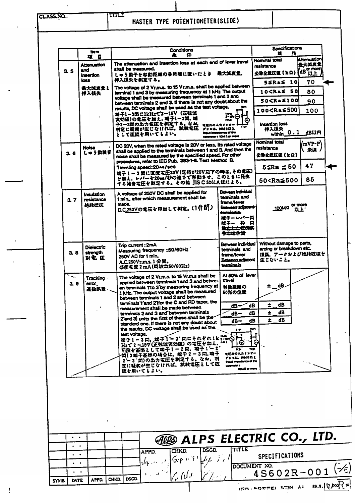CLASS.NO.

 $\ddot{\phantom{1}}$ **TITLE** 

HASTER TYPE POTENTIOHETER(SLIDE)

|     |                                           | ttem.                                      | <b>Conditions</b><br>₩<br>æ                                                                                                                                                                                                                                                                                                                                                                                                                                                                                                                                                                                                                                                                                                                                                                                                             | <b>Specifications</b><br>Œ                                                                         |
|-----|-------------------------------------------|--------------------------------------------|-----------------------------------------------------------------------------------------------------------------------------------------------------------------------------------------------------------------------------------------------------------------------------------------------------------------------------------------------------------------------------------------------------------------------------------------------------------------------------------------------------------------------------------------------------------------------------------------------------------------------------------------------------------------------------------------------------------------------------------------------------------------------------------------------------------------------------------------|----------------------------------------------------------------------------------------------------|
|     |                                           | 項目                                         | The attenuation and insertion loss at each end of lever travel                                                                                                                                                                                                                                                                                                                                                                                                                                                                                                                                                                                                                                                                                                                                                                          | Attenuation<br><b>Nominal total</b>                                                                |
| 3.5 |                                           | Attenuation<br>and<br><b>Insertion</b>     | shall be measured.<br>しゅう動子を移動距離の各終端に置いたとき。最大減衰量。                                                                                                                                                                                                                                                                                                                                                                                                                                                                                                                                                                                                                                                                                                                                                                                       | 最大式丢卖<br>resistance<br>公共全抵抗策【kΩ】(dB more)                                                         |
|     |                                           | عدما                                       | 拝入携失を剥定する。<br>The voltage of 2 Vr.m.s. to 15 Vr.m.s. shall be applied between                                                                                                                                                                                                                                                                                                                                                                                                                                                                                                                                                                                                                                                                                                                                                           | $55RAS$ 10<br>70                                                                                   |
|     |                                           | 最大笑ままと<br>挿入誤失                             | terminal 1 and 3 by measuring frequency at 1 kHz. The output                                                                                                                                                                                                                                                                                                                                                                                                                                                                                                                                                                                                                                                                                                                                                                            | 10 <r&≤ 50<br="">80.</r&≤>                                                                         |
|     |                                           |                                            | voltage shall be measured between terminals 1 and 2 and<br>between terminals 2 and 3. If there is not any doubt about the                                                                                                                                                                                                                                                                                                                                                                                                                                                                                                                                                                                                                                                                                                               | 50 <ra≤100<br>90</ra≤100<br>                                                                       |
|     |                                           |                                            | results, DC voltage shall be used as the test voltage.<br><b>ミ子1-3問に1kHzで2~15V (正弦放</b><br><b>SMALL</b>                                                                                                                                                                                                                                                                                                                                                                                                                                                                                                                                                                                                                                                                                                                                 | 100 <r& \$500<br="">100<br/>ь.</r&>                                                                |
|     |                                           |                                            | 法々<br>実効値)の電圧を加え、端子1-2間、端<br>子2ー3間の出力電圧を剥定する。なお、<br>電圧計の入力インピー<br>1.39<br>判定に延続が生じなければ、試験電圧 アンaul MMORE<br><b>Inguit Importance of the</b><br>として運送を用いてもよい。<br>user i 1040 ar mart                                                                                                                                                                                                                                                                                                                                                                                                                                                                                                                                                                                                                                                      | 的<br>Insertion loss<br>禅入很失<br>within 0.1 dBUM                                                     |
|     | 36                                        | Noise<br>しゅう動徒音                            | DC 20V, when the rated voltage is 20V or less, its rated voltage<br>shall be applied to the terminals between 1 and 3. And then the<br>noise shall be measured by the specified speed. For other                                                                                                                                                                                                                                                                                                                                                                                                                                                                                                                                                                                                                                        | <b>Nominal total</b><br>$\langle \text{mVP-P} \rangle$<br>resistance<br>、 未 頃 、<br>公休全抵抗征(とロ)      |
|     |                                           |                                            | procedures, refer to IEC Pub. 393-1-6. Test Method B.<br>Traveling speed: 20mm / sec                                                                                                                                                                                                                                                                                                                                                                                                                                                                                                                                                                                                                                                                                                                                                    | 47<br>$5\leq Ra \leq 50$                                                                           |
|     |                                           |                                            | 雄子1-3間に直流電圧20V(定格が20V以下の時は、その電圧)<br>を加え、レバーを20mm/秒の遠さで移動させ、このとさに見生<br>する雑音電圧を剥定する。その他 JIS C 5261A法による。                                                                                                                                                                                                                                                                                                                                                                                                                                                                                                                                                                                                                                                                                                                                  | 85<br>50 <ra≦500< td=""></ra≦500<>                                                                 |
|     | 27                                        | Insulation<br>resistance<br>地脉抵抗           | <b>Between individual</b><br>A voltage of 250V DC shall be applied for<br>terminals and<br>1 min., after which measurement shall be<br>frame/lever<br>made.<br>Between adacent i<br>D.C.250Vの電圧を印加して制定。(1分間)<br>- Ahoicmat<br>送子ーレパー筒<br>雄子一 枠 简<br><del>独立上土低</del> 烷类<br>争の地学賞                                                                                                                                                                                                                                                                                                                                                                                                                                                                                                                                                        | JOOND or more                                                                                      |
|     | 3.8                                       | <b>Dielectric</b><br>rtrenath<br>對電 圧      | Between individual<br>Trip current: 2mA<br>terminals and<br>Measuring frequency : 50/60Hz<br>frame/lever<br>250V AC for 1 min.<br><del>Between adjaced</del><br>A.C.250Vr.m.s. 1分間。<br><b>terminals</b><br>感度電波2mA(周波数50/60Hz)                                                                                                                                                                                                                                                                                                                                                                                                                                                                                                                                                                                                          | Without damage to parts,<br>arcing or breakdown etc.<br>視気、アークおよび絶縁破壊を<br>生じないこと。                  |
|     | 3.9                                       | Tracking<br>$\overline{\text{cm}}$<br>運動試差 | At 50% of lever<br>The voltage of 2 Vr.m.s. to 15 Vr.m.s shall be<br>travel<br>applied between terminals 1 and 3 and betwe-<br>en terminals 1'to 3'by measuring frequency at  <br>各肋距離の<br>1 kHz. The output voltage shall be measured<br>50%の位置<br>between terminals 1 and 2 and between<br>terminals Tand 2 flor the C and RD taper, the<br>$dB$ - $\sim$<br>measurement shall be made between<br>terminals 2 and 3 and between terminals<br>$dB -$<br>2'and 3) units the first of these shall be the<br>$dB -$<br>standard one. If there is not any doubt about<br>the results, DC voltage shall be used as the<br>3111<br>test voltage.<br>1:<br>端子1-3筒。端子1-3 間にそれぞれ1k<br>C<br>Hzで2~15V(正弦波実効値)の電圧を加え.<br>前段を蓄地として端子1-2間,端子1-2<br>何(3城子萎饰の場合は,雄子2-3間,埼子<br>11, 1918대는<br>2~3'問)の出力電圧を測定する。なお、判<br>定に疑果が生じなければ、試験電圧として直<br>彼を用いてもよい。 | $\pm$ $\frac{dB}{d}$<br>đВ<br>±.<br>dB<br>dB<br>±<br>dB<br>dB<br>±.<br>đΒ<br>ክሰ<br>ሳታ<br>mid e rev |
|     |                                           |                                            |                                                                                                                                                                                                                                                                                                                                                                                                                                                                                                                                                                                                                                                                                                                                                                                                                                         |                                                                                                    |
|     | $\bullet\qquad\bullet$<br>$\cdot$ $\cdot$ |                                            | <b>ALAS ELECTRIC CO., LTD.</b>                                                                                                                                                                                                                                                                                                                                                                                                                                                                                                                                                                                                                                                                                                                                                                                                          |                                                                                                    |
|     | $\bullet$                                 |                                            | TITLE<br><b>DSGD.</b><br>CHKD.<br>APPD.                                                                                                                                                                                                                                                                                                                                                                                                                                                                                                                                                                                                                                                                                                                                                                                                 | SPECIFICATIONS                                                                                     |
|     |                                           |                                            | $ \mathcal{G}_r$ p n 'f $^{\prime} $<br>، ، ، ، ، ، ،                                                                                                                                                                                                                                                                                                                                                                                                                                                                                                                                                                                                                                                                                                                                                                                   |                                                                                                    |
|     | $\bullet$                                 |                                            |                                                                                                                                                                                                                                                                                                                                                                                                                                                                                                                                                                                                                                                                                                                                                                                                                                         |                                                                                                    |
|     |                                           |                                            | $\mathcal{L}$ (i.e.                                                                                                                                                                                                                                                                                                                                                                                                                                                                                                                                                                                                                                                                                                                                                                                                                     | DOCUMENT NO.<br>$(\div \epsilon)$<br>$45602R - 001$                                                |

 $\mathbf{I}$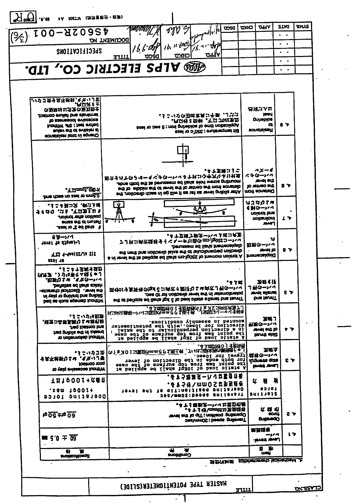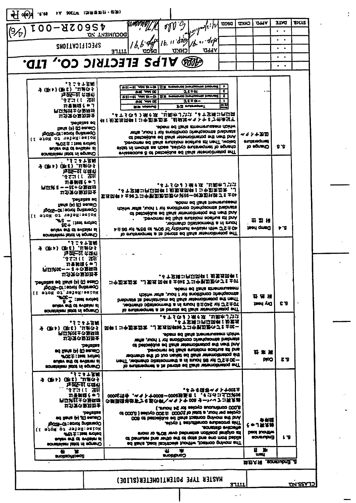|               |        |                                                                                                                                                                                                                                                                                                                                                                                                                                                                                                                                                                                                                                                                                                                                                                                                                                                                                                                                                                                                                                                                                                                                                                                                                                                                                                                                                                               |                                                                                                                    |           | <b>UDSO</b>                                                                                                                                                                                                      | כאות                                                                                                                                                                                                                                                                                                                                                                                                                                                                                                       | Vido                                                                                                                                                                                                                                                                                                                                                                                                                                                                                                                                                                                                                                                                                                                                                                                                                                                                                                                                                                                                                                                                                                                                                                                                                                                                                                                                                                                                                                                                                                                                                                                                                            | <b>31MI</b>                                                                            | <b>TICLS</b>                                                                               |
|---------------|--------|-------------------------------------------------------------------------------------------------------------------------------------------------------------------------------------------------------------------------------------------------------------------------------------------------------------------------------------------------------------------------------------------------------------------------------------------------------------------------------------------------------------------------------------------------------------------------------------------------------------------------------------------------------------------------------------------------------------------------------------------------------------------------------------------------------------------------------------------------------------------------------------------------------------------------------------------------------------------------------------------------------------------------------------------------------------------------------------------------------------------------------------------------------------------------------------------------------------------------------------------------------------------------------------------------------------------------------------------------------------------------------|--------------------------------------------------------------------------------------------------------------------|-----------|------------------------------------------------------------------------------------------------------------------------------------------------------------------------------------------------------------------|------------------------------------------------------------------------------------------------------------------------------------------------------------------------------------------------------------------------------------------------------------------------------------------------------------------------------------------------------------------------------------------------------------------------------------------------------------------------------------------------------------|---------------------------------------------------------------------------------------------------------------------------------------------------------------------------------------------------------------------------------------------------------------------------------------------------------------------------------------------------------------------------------------------------------------------------------------------------------------------------------------------------------------------------------------------------------------------------------------------------------------------------------------------------------------------------------------------------------------------------------------------------------------------------------------------------------------------------------------------------------------------------------------------------------------------------------------------------------------------------------------------------------------------------------------------------------------------------------------------------------------------------------------------------------------------------------------------------------------------------------------------------------------------------------------------------------------------------------------------------------------------------------------------------------------------------------------------------------------------------------------------------------------------------------------------------------------------------------------------------------------------------------|----------------------------------------------------------------------------------------|--------------------------------------------------------------------------------------------|
|               |        |                                                                                                                                                                                                                                                                                                                                                                                                                                                                                                                                                                                                                                                                                                                                                                                                                                                                                                                                                                                                                                                                                                                                                                                                                                                                                                                                                                               | $\partial \mathcal{W}^2$                                                                                           | ا/۱۶: ۱۹  |                                                                                                                                                                                                                  |                                                                                                                                                                                                                                                                                                                                                                                                                                                                                                            |                                                                                                                                                                                                                                                                                                                                                                                                                                                                                                                                                                                                                                                                                                                                                                                                                                                                                                                                                                                                                                                                                                                                                                                                                                                                                                                                                                                                                                                                                                                                                                                                                                 |                                                                                        |                                                                                            |
|               |        |                                                                                                                                                                                                                                                                                                                                                                                                                                                                                                                                                                                                                                                                                                                                                                                                                                                                                                                                                                                                                                                                                                                                                                                                                                                                                                                                                                               |                                                                                                                    |           |                                                                                                                                                                                                                  |                                                                                                                                                                                                                                                                                                                                                                                                                                                                                                            |                                                                                                                                                                                                                                                                                                                                                                                                                                                                                                                                                                                                                                                                                                                                                                                                                                                                                                                                                                                                                                                                                                                                                                                                                                                                                                                                                                                                                                                                                                                                                                                                                                 | $\bullet$ $\bullet$                                                                    |                                                                                            |
|               |        |                                                                                                                                                                                                                                                                                                                                                                                                                                                                                                                                                                                                                                                                                                                                                                                                                                                                                                                                                                                                                                                                                                                                                                                                                                                                                                                                                                               |                                                                                                                    |           |                                                                                                                                                                                                                  |                                                                                                                                                                                                                                                                                                                                                                                                                                                                                                            |                                                                                                                                                                                                                                                                                                                                                                                                                                                                                                                                                                                                                                                                                                                                                                                                                                                                                                                                                                                                                                                                                                                                                                                                                                                                                                                                                                                                                                                                                                                                                                                                                                 | $\bullet$                                                                              |                                                                                            |
|               |        |                                                                                                                                                                                                                                                                                                                                                                                                                                                                                                                                                                                                                                                                                                                                                                                                                                                                                                                                                                                                                                                                                                                                                                                                                                                                                                                                                                               |                                                                                                                    |           |                                                                                                                                                                                                                  |                                                                                                                                                                                                                                                                                                                                                                                                                                                                                                            |                                                                                                                                                                                                                                                                                                                                                                                                                                                                                                                                                                                                                                                                                                                                                                                                                                                                                                                                                                                                                                                                                                                                                                                                                                                                                                                                                                                                                                                                                                                                                                                                                                 | ٠                                                                                      |                                                                                            |
|               |        |                                                                                                                                                                                                                                                                                                                                                                                                                                                                                                                                                                                                                                                                                                                                                                                                                                                                                                                                                                                                                                                                                                                                                                                                                                                                                                                                                                               |                                                                                                                    |           |                                                                                                                                                                                                                  |                                                                                                                                                                                                                                                                                                                                                                                                                                                                                                            |                                                                                                                                                                                                                                                                                                                                                                                                                                                                                                                                                                                                                                                                                                                                                                                                                                                                                                                                                                                                                                                                                                                                                                                                                                                                                                                                                                                                                                                                                                                                                                                                                                 | ٠                                                                                      |                                                                                            |
|               |        |                                                                                                                                                                                                                                                                                                                                                                                                                                                                                                                                                                                                                                                                                                                                                                                                                                                                                                                                                                                                                                                                                                                                                                                                                                                                                                                                                                               |                                                                                                                    |           |                                                                                                                                                                                                                  |                                                                                                                                                                                                                                                                                                                                                                                                                                                                                                            |                                                                                                                                                                                                                                                                                                                                                                                                                                                                                                                                                                                                                                                                                                                                                                                                                                                                                                                                                                                                                                                                                                                                                                                                                                                                                                                                                                                                                                                                                                                                                                                                                                 |                                                                                        |                                                                                            |
|               |        |                                                                                                                                                                                                                                                                                                                                                                                                                                                                                                                                                                                                                                                                                                                                                                                                                                                                                                                                                                                                                                                                                                                                                                                                                                                                                                                                                                               |                                                                                                                    |           |                                                                                                                                                                                                                  |                                                                                                                                                                                                                                                                                                                                                                                                                                                                                                            |                                                                                                                                                                                                                                                                                                                                                                                                                                                                                                                                                                                                                                                                                                                                                                                                                                                                                                                                                                                                                                                                                                                                                                                                                                                                                                                                                                                                                                                                                                                                                                                                                                 |                                                                                        |                                                                                            |
|               |        |                                                                                                                                                                                                                                                                                                                                                                                                                                                                                                                                                                                                                                                                                                                                                                                                                                                                                                                                                                                                                                                                                                                                                                                                                                                                                                                                                                               |                                                                                                                    |           | c.                                                                                                                                                                                                               |                                                                                                                                                                                                                                                                                                                                                                                                                                                                                                            |                                                                                                                                                                                                                                                                                                                                                                                                                                                                                                                                                                                                                                                                                                                                                                                                                                                                                                                                                                                                                                                                                                                                                                                                                                                                                                                                                                                                                                                                                                                                                                                                                                 |                                                                                        |                                                                                            |
|               |        |                                                                                                                                                                                                                                                                                                                                                                                                                                                                                                                                                                                                                                                                                                                                                                                                                                                                                                                                                                                                                                                                                                                                                                                                                                                                                                                                                                               |                                                                                                                    |           | z.                                                                                                                                                                                                               |                                                                                                                                                                                                                                                                                                                                                                                                                                                                                                            |                                                                                                                                                                                                                                                                                                                                                                                                                                                                                                                                                                                                                                                                                                                                                                                                                                                                                                                                                                                                                                                                                                                                                                                                                                                                                                                                                                                                                                                                                                                                                                                                                                 |                                                                                        |                                                                                            |
|               |        | <b>EN YORANG</b>                                                                                                                                                                                                                                                                                                                                                                                                                                                                                                                                                                                                                                                                                                                                                                                                                                                                                                                                                                                                                                                                                                                                                                                                                                                                                                                                                              |                                                                                                                    |           |                                                                                                                                                                                                                  |                                                                                                                                                                                                                                                                                                                                                                                                                                                                                                            |                                                                                                                                                                                                                                                                                                                                                                                                                                                                                                                                                                                                                                                                                                                                                                                                                                                                                                                                                                                                                                                                                                                                                                                                                                                                                                                                                                                                                                                                                                                                                                                                                                 |                                                                                        |                                                                                            |
|               |        |                                                                                                                                                                                                                                                                                                                                                                                                                                                                                                                                                                                                                                                                                                                                                                                                                                                                                                                                                                                                                                                                                                                                                                                                                                                                                                                                                                               |                                                                                                                    |           |                                                                                                                                                                                                                  |                                                                                                                                                                                                                                                                                                                                                                                                                                                                                                            |                                                                                                                                                                                                                                                                                                                                                                                                                                                                                                                                                                                                                                                                                                                                                                                                                                                                                                                                                                                                                                                                                                                                                                                                                                                                                                                                                                                                                                                                                                                                                                                                                                 |                                                                                        |                                                                                            |
|               |        |                                                                                                                                                                                                                                                                                                                                                                                                                                                                                                                                                                                                                                                                                                                                                                                                                                                                                                                                                                                                                                                                                                                                                                                                                                                                                                                                                                               |                                                                                                                    |           |                                                                                                                                                                                                                  |                                                                                                                                                                                                                                                                                                                                                                                                                                                                                                            |                                                                                                                                                                                                                                                                                                                                                                                                                                                                                                                                                                                                                                                                                                                                                                                                                                                                                                                                                                                                                                                                                                                                                                                                                                                                                                                                                                                                                                                                                                                                                                                                                                 |                                                                                        |                                                                                            |
|               |        |                                                                                                                                                                                                                                                                                                                                                                                                                                                                                                                                                                                                                                                                                                                                                                                                                                                                                                                                                                                                                                                                                                                                                                                                                                                                                                                                                                               |                                                                                                                    |           |                                                                                                                                                                                                                  |                                                                                                                                                                                                                                                                                                                                                                                                                                                                                                            |                                                                                                                                                                                                                                                                                                                                                                                                                                                                                                                                                                                                                                                                                                                                                                                                                                                                                                                                                                                                                                                                                                                                                                                                                                                                                                                                                                                                                                                                                                                                                                                                                                 |                                                                                        |                                                                                            |
|               |        |                                                                                                                                                                                                                                                                                                                                                                                                                                                                                                                                                                                                                                                                                                                                                                                                                                                                                                                                                                                                                                                                                                                                                                                                                                                                                                                                                                               |                                                                                                                    |           |                                                                                                                                                                                                                  |                                                                                                                                                                                                                                                                                                                                                                                                                                                                                                            |                                                                                                                                                                                                                                                                                                                                                                                                                                                                                                                                                                                                                                                                                                                                                                                                                                                                                                                                                                                                                                                                                                                                                                                                                                                                                                                                                                                                                                                                                                                                                                                                                                 |                                                                                        |                                                                                            |
|               |        |                                                                                                                                                                                                                                                                                                                                                                                                                                                                                                                                                                                                                                                                                                                                                                                                                                                                                                                                                                                                                                                                                                                                                                                                                                                                                                                                                                               |                                                                                                                    |           |                                                                                                                                                                                                                  |                                                                                                                                                                                                                                                                                                                                                                                                                                                                                                            |                                                                                                                                                                                                                                                                                                                                                                                                                                                                                                                                                                                                                                                                                                                                                                                                                                                                                                                                                                                                                                                                                                                                                                                                                                                                                                                                                                                                                                                                                                                                                                                                                                 | S.S                                                                                    |                                                                                            |
|               |        |                                                                                                                                                                                                                                                                                                                                                                                                                                                                                                                                                                                                                                                                                                                                                                                                                                                                                                                                                                                                                                                                                                                                                                                                                                                                                                                                                                               |                                                                                                                    |           |                                                                                                                                                                                                                  |                                                                                                                                                                                                                                                                                                                                                                                                                                                                                                            |                                                                                                                                                                                                                                                                                                                                                                                                                                                                                                                                                                                                                                                                                                                                                                                                                                                                                                                                                                                                                                                                                                                                                                                                                                                                                                                                                                                                                                                                                                                                                                                                                                 |                                                                                        |                                                                                            |
|               |        |                                                                                                                                                                                                                                                                                                                                                                                                                                                                                                                                                                                                                                                                                                                                                                                                                                                                                                                                                                                                                                                                                                                                                                                                                                                                                                                                                                               |                                                                                                                    |           |                                                                                                                                                                                                                  |                                                                                                                                                                                                                                                                                                                                                                                                                                                                                                            |                                                                                                                                                                                                                                                                                                                                                                                                                                                                                                                                                                                                                                                                                                                                                                                                                                                                                                                                                                                                                                                                                                                                                                                                                                                                                                                                                                                                                                                                                                                                                                                                                                 |                                                                                        |                                                                                            |
|               |        |                                                                                                                                                                                                                                                                                                                                                                                                                                                                                                                                                                                                                                                                                                                                                                                                                                                                                                                                                                                                                                                                                                                                                                                                                                                                                                                                                                               |                                                                                                                    |           |                                                                                                                                                                                                                  |                                                                                                                                                                                                                                                                                                                                                                                                                                                                                                            |                                                                                                                                                                                                                                                                                                                                                                                                                                                                                                                                                                                                                                                                                                                                                                                                                                                                                                                                                                                                                                                                                                                                                                                                                                                                                                                                                                                                                                                                                                                                                                                                                                 |                                                                                        |                                                                                            |
|               |        |                                                                                                                                                                                                                                                                                                                                                                                                                                                                                                                                                                                                                                                                                                                                                                                                                                                                                                                                                                                                                                                                                                                                                                                                                                                                                                                                                                               |                                                                                                                    |           |                                                                                                                                                                                                                  |                                                                                                                                                                                                                                                                                                                                                                                                                                                                                                            |                                                                                                                                                                                                                                                                                                                                                                                                                                                                                                                                                                                                                                                                                                                                                                                                                                                                                                                                                                                                                                                                                                                                                                                                                                                                                                                                                                                                                                                                                                                                                                                                                                 |                                                                                        |                                                                                            |
|               |        |                                                                                                                                                                                                                                                                                                                                                                                                                                                                                                                                                                                                                                                                                                                                                                                                                                                                                                                                                                                                                                                                                                                                                                                                                                                                                                                                                                               |                                                                                                                    |           |                                                                                                                                                                                                                  |                                                                                                                                                                                                                                                                                                                                                                                                                                                                                                            |                                                                                                                                                                                                                                                                                                                                                                                                                                                                                                                                                                                                                                                                                                                                                                                                                                                                                                                                                                                                                                                                                                                                                                                                                                                                                                                                                                                                                                                                                                                                                                                                                                 |                                                                                        |                                                                                            |
|               |        |                                                                                                                                                                                                                                                                                                                                                                                                                                                                                                                                                                                                                                                                                                                                                                                                                                                                                                                                                                                                                                                                                                                                                                                                                                                                                                                                                                               |                                                                                                                    |           |                                                                                                                                                                                                                  |                                                                                                                                                                                                                                                                                                                                                                                                                                                                                                            |                                                                                                                                                                                                                                                                                                                                                                                                                                                                                                                                                                                                                                                                                                                                                                                                                                                                                                                                                                                                                                                                                                                                                                                                                                                                                                                                                                                                                                                                                                                                                                                                                                 |                                                                                        |                                                                                            |
|               |        |                                                                                                                                                                                                                                                                                                                                                                                                                                                                                                                                                                                                                                                                                                                                                                                                                                                                                                                                                                                                                                                                                                                                                                                                                                                                                                                                                                               |                                                                                                                    |           |                                                                                                                                                                                                                  |                                                                                                                                                                                                                                                                                                                                                                                                                                                                                                            |                                                                                                                                                                                                                                                                                                                                                                                                                                                                                                                                                                                                                                                                                                                                                                                                                                                                                                                                                                                                                                                                                                                                                                                                                                                                                                                                                                                                                                                                                                                                                                                                                                 |                                                                                        |                                                                                            |
|               |        |                                                                                                                                                                                                                                                                                                                                                                                                                                                                                                                                                                                                                                                                                                                                                                                                                                                                                                                                                                                                                                                                                                                                                                                                                                                                                                                                                                               |                                                                                                                    |           |                                                                                                                                                                                                                  |                                                                                                                                                                                                                                                                                                                                                                                                                                                                                                            |                                                                                                                                                                                                                                                                                                                                                                                                                                                                                                                                                                                                                                                                                                                                                                                                                                                                                                                                                                                                                                                                                                                                                                                                                                                                                                                                                                                                                                                                                                                                                                                                                                 |                                                                                        |                                                                                            |
|               |        |                                                                                                                                                                                                                                                                                                                                                                                                                                                                                                                                                                                                                                                                                                                                                                                                                                                                                                                                                                                                                                                                                                                                                                                                                                                                                                                                                                               |                                                                                                                    |           |                                                                                                                                                                                                                  |                                                                                                                                                                                                                                                                                                                                                                                                                                                                                                            |                                                                                                                                                                                                                                                                                                                                                                                                                                                                                                                                                                                                                                                                                                                                                                                                                                                                                                                                                                                                                                                                                                                                                                                                                                                                                                                                                                                                                                                                                                                                                                                                                                 |                                                                                        |                                                                                            |
|               |        |                                                                                                                                                                                                                                                                                                                                                                                                                                                                                                                                                                                                                                                                                                                                                                                                                                                                                                                                                                                                                                                                                                                                                                                                                                                                                                                                                                               |                                                                                                                    |           |                                                                                                                                                                                                                  |                                                                                                                                                                                                                                                                                                                                                                                                                                                                                                            |                                                                                                                                                                                                                                                                                                                                                                                                                                                                                                                                                                                                                                                                                                                                                                                                                                                                                                                                                                                                                                                                                                                                                                                                                                                                                                                                                                                                                                                                                                                                                                                                                                 | r.a                                                                                    |                                                                                            |
|               |        |                                                                                                                                                                                                                                                                                                                                                                                                                                                                                                                                                                                                                                                                                                                                                                                                                                                                                                                                                                                                                                                                                                                                                                                                                                                                                                                                                                               |                                                                                                                    |           |                                                                                                                                                                                                                  |                                                                                                                                                                                                                                                                                                                                                                                                                                                                                                            |                                                                                                                                                                                                                                                                                                                                                                                                                                                                                                                                                                                                                                                                                                                                                                                                                                                                                                                                                                                                                                                                                                                                                                                                                                                                                                                                                                                                                                                                                                                                                                                                                                 |                                                                                        |                                                                                            |
|               |        |                                                                                                                                                                                                                                                                                                                                                                                                                                                                                                                                                                                                                                                                                                                                                                                                                                                                                                                                                                                                                                                                                                                                                                                                                                                                                                                                                                               |                                                                                                                    |           |                                                                                                                                                                                                                  |                                                                                                                                                                                                                                                                                                                                                                                                                                                                                                            |                                                                                                                                                                                                                                                                                                                                                                                                                                                                                                                                                                                                                                                                                                                                                                                                                                                                                                                                                                                                                                                                                                                                                                                                                                                                                                                                                                                                                                                                                                                                                                                                                                 |                                                                                        |                                                                                            |
|               |        |                                                                                                                                                                                                                                                                                                                                                                                                                                                                                                                                                                                                                                                                                                                                                                                                                                                                                                                                                                                                                                                                                                                                                                                                                                                                                                                                                                               |                                                                                                                    |           |                                                                                                                                                                                                                  |                                                                                                                                                                                                                                                                                                                                                                                                                                                                                                            |                                                                                                                                                                                                                                                                                                                                                                                                                                                                                                                                                                                                                                                                                                                                                                                                                                                                                                                                                                                                                                                                                                                                                                                                                                                                                                                                                                                                                                                                                                                                                                                                                                 |                                                                                        |                                                                                            |
|               |        |                                                                                                                                                                                                                                                                                                                                                                                                                                                                                                                                                                                                                                                                                                                                                                                                                                                                                                                                                                                                                                                                                                                                                                                                                                                                                                                                                                               |                                                                                                                    |           |                                                                                                                                                                                                                  |                                                                                                                                                                                                                                                                                                                                                                                                                                                                                                            |                                                                                                                                                                                                                                                                                                                                                                                                                                                                                                                                                                                                                                                                                                                                                                                                                                                                                                                                                                                                                                                                                                                                                                                                                                                                                                                                                                                                                                                                                                                                                                                                                                 |                                                                                        |                                                                                            |
|               |        |                                                                                                                                                                                                                                                                                                                                                                                                                                                                                                                                                                                                                                                                                                                                                                                                                                                                                                                                                                                                                                                                                                                                                                                                                                                                                                                                                                               |                                                                                                                    |           |                                                                                                                                                                                                                  |                                                                                                                                                                                                                                                                                                                                                                                                                                                                                                            |                                                                                                                                                                                                                                                                                                                                                                                                                                                                                                                                                                                                                                                                                                                                                                                                                                                                                                                                                                                                                                                                                                                                                                                                                                                                                                                                                                                                                                                                                                                                                                                                                                 |                                                                                        |                                                                                            |
|               |        |                                                                                                                                                                                                                                                                                                                                                                                                                                                                                                                                                                                                                                                                                                                                                                                                                                                                                                                                                                                                                                                                                                                                                                                                                                                                                                                                                                               |                                                                                                                    |           |                                                                                                                                                                                                                  |                                                                                                                                                                                                                                                                                                                                                                                                                                                                                                            |                                                                                                                                                                                                                                                                                                                                                                                                                                                                                                                                                                                                                                                                                                                                                                                                                                                                                                                                                                                                                                                                                                                                                                                                                                                                                                                                                                                                                                                                                                                                                                                                                                 |                                                                                        |                                                                                            |
|               |        |                                                                                                                                                                                                                                                                                                                                                                                                                                                                                                                                                                                                                                                                                                                                                                                                                                                                                                                                                                                                                                                                                                                                                                                                                                                                                                                                                                               |                                                                                                                    |           |                                                                                                                                                                                                                  |                                                                                                                                                                                                                                                                                                                                                                                                                                                                                                            |                                                                                                                                                                                                                                                                                                                                                                                                                                                                                                                                                                                                                                                                                                                                                                                                                                                                                                                                                                                                                                                                                                                                                                                                                                                                                                                                                                                                                                                                                                                                                                                                                                 |                                                                                        |                                                                                            |
|               |        |                                                                                                                                                                                                                                                                                                                                                                                                                                                                                                                                                                                                                                                                                                                                                                                                                                                                                                                                                                                                                                                                                                                                                                                                                                                                                                                                                                               |                                                                                                                    |           |                                                                                                                                                                                                                  |                                                                                                                                                                                                                                                                                                                                                                                                                                                                                                            |                                                                                                                                                                                                                                                                                                                                                                                                                                                                                                                                                                                                                                                                                                                                                                                                                                                                                                                                                                                                                                                                                                                                                                                                                                                                                                                                                                                                                                                                                                                                                                                                                                 |                                                                                        |                                                                                            |
|               |        |                                                                                                                                                                                                                                                                                                                                                                                                                                                                                                                                                                                                                                                                                                                                                                                                                                                                                                                                                                                                                                                                                                                                                                                                                                                                                                                                                                               |                                                                                                                    |           |                                                                                                                                                                                                                  |                                                                                                                                                                                                                                                                                                                                                                                                                                                                                                            |                                                                                                                                                                                                                                                                                                                                                                                                                                                                                                                                                                                                                                                                                                                                                                                                                                                                                                                                                                                                                                                                                                                                                                                                                                                                                                                                                                                                                                                                                                                                                                                                                                 |                                                                                        |                                                                                            |
|               |        |                                                                                                                                                                                                                                                                                                                                                                                                                                                                                                                                                                                                                                                                                                                                                                                                                                                                                                                                                                                                                                                                                                                                                                                                                                                                                                                                                                               |                                                                                                                    |           |                                                                                                                                                                                                                  |                                                                                                                                                                                                                                                                                                                                                                                                                                                                                                            |                                                                                                                                                                                                                                                                                                                                                                                                                                                                                                                                                                                                                                                                                                                                                                                                                                                                                                                                                                                                                                                                                                                                                                                                                                                                                                                                                                                                                                                                                                                                                                                                                                 |                                                                                        |                                                                                            |
|               |        |                                                                                                                                                                                                                                                                                                                                                                                                                                                                                                                                                                                                                                                                                                                                                                                                                                                                                                                                                                                                                                                                                                                                                                                                                                                                                                                                                                               |                                                                                                                    |           |                                                                                                                                                                                                                  |                                                                                                                                                                                                                                                                                                                                                                                                                                                                                                            |                                                                                                                                                                                                                                                                                                                                                                                                                                                                                                                                                                                                                                                                                                                                                                                                                                                                                                                                                                                                                                                                                                                                                                                                                                                                                                                                                                                                                                                                                                                                                                                                                                 |                                                                                        |                                                                                            |
|               |        |                                                                                                                                                                                                                                                                                                                                                                                                                                                                                                                                                                                                                                                                                                                                                                                                                                                                                                                                                                                                                                                                                                                                                                                                                                                                                                                                                                               |                                                                                                                    |           |                                                                                                                                                                                                                  |                                                                                                                                                                                                                                                                                                                                                                                                                                                                                                            |                                                                                                                                                                                                                                                                                                                                                                                                                                                                                                                                                                                                                                                                                                                                                                                                                                                                                                                                                                                                                                                                                                                                                                                                                                                                                                                                                                                                                                                                                                                                                                                                                                 |                                                                                        |                                                                                            |
|               |        |                                                                                                                                                                                                                                                                                                                                                                                                                                                                                                                                                                                                                                                                                                                                                                                                                                                                                                                                                                                                                                                                                                                                                                                                                                                                                                                                                                               |                                                                                                                    |           |                                                                                                                                                                                                                  |                                                                                                                                                                                                                                                                                                                                                                                                                                                                                                            |                                                                                                                                                                                                                                                                                                                                                                                                                                                                                                                                                                                                                                                                                                                                                                                                                                                                                                                                                                                                                                                                                                                                                                                                                                                                                                                                                                                                                                                                                                                                                                                                                                 |                                                                                        |                                                                                            |
|               |        |                                                                                                                                                                                                                                                                                                                                                                                                                                                                                                                                                                                                                                                                                                                                                                                                                                                                                                                                                                                                                                                                                                                                                                                                                                                                                                                                                                               |                                                                                                                    |           |                                                                                                                                                                                                                  |                                                                                                                                                                                                                                                                                                                                                                                                                                                                                                            |                                                                                                                                                                                                                                                                                                                                                                                                                                                                                                                                                                                                                                                                                                                                                                                                                                                                                                                                                                                                                                                                                                                                                                                                                                                                                                                                                                                                                                                                                                                                                                                                                                 |                                                                                        |                                                                                            |
|               |        |                                                                                                                                                                                                                                                                                                                                                                                                                                                                                                                                                                                                                                                                                                                                                                                                                                                                                                                                                                                                                                                                                                                                                                                                                                                                                                                                                                               |                                                                                                                    |           |                                                                                                                                                                                                                  |                                                                                                                                                                                                                                                                                                                                                                                                                                                                                                            |                                                                                                                                                                                                                                                                                                                                                                                                                                                                                                                                                                                                                                                                                                                                                                                                                                                                                                                                                                                                                                                                                                                                                                                                                                                                                                                                                                                                                                                                                                                                                                                                                                 |                                                                                        |                                                                                            |
|               |        |                                                                                                                                                                                                                                                                                                                                                                                                                                                                                                                                                                                                                                                                                                                                                                                                                                                                                                                                                                                                                                                                                                                                                                                                                                                                                                                                                                               |                                                                                                                    |           |                                                                                                                                                                                                                  |                                                                                                                                                                                                                                                                                                                                                                                                                                                                                                            |                                                                                                                                                                                                                                                                                                                                                                                                                                                                                                                                                                                                                                                                                                                                                                                                                                                                                                                                                                                                                                                                                                                                                                                                                                                                                                                                                                                                                                                                                                                                                                                                                                 | 73                                                                                     |                                                                                            |
|               |        |                                                                                                                                                                                                                                                                                                                                                                                                                                                                                                                                                                                                                                                                                                                                                                                                                                                                                                                                                                                                                                                                                                                                                                                                                                                                                                                                                                               |                                                                                                                    |           |                                                                                                                                                                                                                  |                                                                                                                                                                                                                                                                                                                                                                                                                                                                                                            |                                                                                                                                                                                                                                                                                                                                                                                                                                                                                                                                                                                                                                                                                                                                                                                                                                                                                                                                                                                                                                                                                                                                                                                                                                                                                                                                                                                                                                                                                                                                                                                                                                 |                                                                                        |                                                                                            |
|               |        |                                                                                                                                                                                                                                                                                                                                                                                                                                                                                                                                                                                                                                                                                                                                                                                                                                                                                                                                                                                                                                                                                                                                                                                                                                                                                                                                                                               |                                                                                                                    |           |                                                                                                                                                                                                                  |                                                                                                                                                                                                                                                                                                                                                                                                                                                                                                            |                                                                                                                                                                                                                                                                                                                                                                                                                                                                                                                                                                                                                                                                                                                                                                                                                                                                                                                                                                                                                                                                                                                                                                                                                                                                                                                                                                                                                                                                                                                                                                                                                                 |                                                                                        |                                                                                            |
|               |        |                                                                                                                                                                                                                                                                                                                                                                                                                                                                                                                                                                                                                                                                                                                                                                                                                                                                                                                                                                                                                                                                                                                                                                                                                                                                                                                                                                               |                                                                                                                    |           |                                                                                                                                                                                                                  |                                                                                                                                                                                                                                                                                                                                                                                                                                                                                                            |                                                                                                                                                                                                                                                                                                                                                                                                                                                                                                                                                                                                                                                                                                                                                                                                                                                                                                                                                                                                                                                                                                                                                                                                                                                                                                                                                                                                                                                                                                                                                                                                                                 |                                                                                        |                                                                                            |
|               |        |                                                                                                                                                                                                                                                                                                                                                                                                                                                                                                                                                                                                                                                                                                                                                                                                                                                                                                                                                                                                                                                                                                                                                                                                                                                                                                                                                                               |                                                                                                                    |           |                                                                                                                                                                                                                  |                                                                                                                                                                                                                                                                                                                                                                                                                                                                                                            |                                                                                                                                                                                                                                                                                                                                                                                                                                                                                                                                                                                                                                                                                                                                                                                                                                                                                                                                                                                                                                                                                                                                                                                                                                                                                                                                                                                                                                                                                                                                                                                                                                 |                                                                                        |                                                                                            |
|               |        |                                                                                                                                                                                                                                                                                                                                                                                                                                                                                                                                                                                                                                                                                                                                                                                                                                                                                                                                                                                                                                                                                                                                                                                                                                                                                                                                                                               |                                                                                                                    |           |                                                                                                                                                                                                                  |                                                                                                                                                                                                                                                                                                                                                                                                                                                                                                            |                                                                                                                                                                                                                                                                                                                                                                                                                                                                                                                                                                                                                                                                                                                                                                                                                                                                                                                                                                                                                                                                                                                                                                                                                                                                                                                                                                                                                                                                                                                                                                                                                                 |                                                                                        |                                                                                            |
|               |        |                                                                                                                                                                                                                                                                                                                                                                                                                                                                                                                                                                                                                                                                                                                                                                                                                                                                                                                                                                                                                                                                                                                                                                                                                                                                                                                                                                               |                                                                                                                    |           |                                                                                                                                                                                                                  |                                                                                                                                                                                                                                                                                                                                                                                                                                                                                                            |                                                                                                                                                                                                                                                                                                                                                                                                                                                                                                                                                                                                                                                                                                                                                                                                                                                                                                                                                                                                                                                                                                                                                                                                                                                                                                                                                                                                                                                                                                                                                                                                                                 |                                                                                        |                                                                                            |
|               |        |                                                                                                                                                                                                                                                                                                                                                                                                                                                                                                                                                                                                                                                                                                                                                                                                                                                                                                                                                                                                                                                                                                                                                                                                                                                                                                                                                                               |                                                                                                                    |           |                                                                                                                                                                                                                  |                                                                                                                                                                                                                                                                                                                                                                                                                                                                                                            |                                                                                                                                                                                                                                                                                                                                                                                                                                                                                                                                                                                                                                                                                                                                                                                                                                                                                                                                                                                                                                                                                                                                                                                                                                                                                                                                                                                                                                                                                                                                                                                                                                 |                                                                                        |                                                                                            |
|               |        |                                                                                                                                                                                                                                                                                                                                                                                                                                                                                                                                                                                                                                                                                                                                                                                                                                                                                                                                                                                                                                                                                                                                                                                                                                                                                                                                                                               |                                                                                                                    |           |                                                                                                                                                                                                                  |                                                                                                                                                                                                                                                                                                                                                                                                                                                                                                            |                                                                                                                                                                                                                                                                                                                                                                                                                                                                                                                                                                                                                                                                                                                                                                                                                                                                                                                                                                                                                                                                                                                                                                                                                                                                                                                                                                                                                                                                                                                                                                                                                                 |                                                                                        |                                                                                            |
|               |        |                                                                                                                                                                                                                                                                                                                                                                                                                                                                                                                                                                                                                                                                                                                                                                                                                                                                                                                                                                                                                                                                                                                                                                                                                                                                                                                                                                               |                                                                                                                    |           |                                                                                                                                                                                                                  |                                                                                                                                                                                                                                                                                                                                                                                                                                                                                                            |                                                                                                                                                                                                                                                                                                                                                                                                                                                                                                                                                                                                                                                                                                                                                                                                                                                                                                                                                                                                                                                                                                                                                                                                                                                                                                                                                                                                                                                                                                                                                                                                                                 |                                                                                        |                                                                                            |
|               |        |                                                                                                                                                                                                                                                                                                                                                                                                                                                                                                                                                                                                                                                                                                                                                                                                                                                                                                                                                                                                                                                                                                                                                                                                                                                                                                                                                                               |                                                                                                                    |           |                                                                                                                                                                                                                  |                                                                                                                                                                                                                                                                                                                                                                                                                                                                                                            |                                                                                                                                                                                                                                                                                                                                                                                                                                                                                                                                                                                                                                                                                                                                                                                                                                                                                                                                                                                                                                                                                                                                                                                                                                                                                                                                                                                                                                                                                                                                                                                                                                 | I Z                                                                                    |                                                                                            |
|               |        |                                                                                                                                                                                                                                                                                                                                                                                                                                                                                                                                                                                                                                                                                                                                                                                                                                                                                                                                                                                                                                                                                                                                                                                                                                                                                                                                                                               |                                                                                                                    |           |                                                                                                                                                                                                                  |                                                                                                                                                                                                                                                                                                                                                                                                                                                                                                            |                                                                                                                                                                                                                                                                                                                                                                                                                                                                                                                                                                                                                                                                                                                                                                                                                                                                                                                                                                                                                                                                                                                                                                                                                                                                                                                                                                                                                                                                                                                                                                                                                                 |                                                                                        |                                                                                            |
| anotheofforo2 |        |                                                                                                                                                                                                                                                                                                                                                                                                                                                                                                                                                                                                                                                                                                                                                                                                                                                                                                                                                                                                                                                                                                                                                                                                                                                                                                                                                                               | <b><i><u>BLOSSDUO</u></i></b>                                                                                      |           |                                                                                                                                                                                                                  |                                                                                                                                                                                                                                                                                                                                                                                                                                                                                                            | umu                                                                                                                                                                                                                                                                                                                                                                                                                                                                                                                                                                                                                                                                                                                                                                                                                                                                                                                                                                                                                                                                                                                                                                                                                                                                                                                                                                                                                                                                                                                                                                                                                             |                                                                                        |                                                                                            |
|               |        |                                                                                                                                                                                                                                                                                                                                                                                                                                                                                                                                                                                                                                                                                                                                                                                                                                                                                                                                                                                                                                                                                                                                                                                                                                                                                                                                                                               |                                                                                                                    |           |                                                                                                                                                                                                                  |                                                                                                                                                                                                                                                                                                                                                                                                                                                                                                            | <b>SISTAN ROOMING</b>                                                                                                                                                                                                                                                                                                                                                                                                                                                                                                                                                                                                                                                                                                                                                                                                                                                                                                                                                                                                                                                                                                                                                                                                                                                                                                                                                                                                                                                                                                                                                                                                           |                                                                                        |                                                                                            |
|               | Ð<br>в | SNOITA31710392<br>•るこる十品殿<br>子(近け)(取り) 判例の子<br>为空空红 大地桥<br>・さえコ(! 51出る<br>力基製師を申り<br>内以次01±4割なば<br>コンスの追力立っ<br>peusses eq<br>Dariz (b) (E) seust)<br>hp005-01:sonol pritrago<br>(I stok of mateR:saloN<br>NOS±: test encted<br>oulev ort at evitales al<br>eonataian latot ni sensici<br>•ろこる十又殿<br>子(取り)(取り) 加羽の子<br>过在一队 化加机<br>ふんこ (し 宝お<br>刘昌齢頃そ●コ<br>内以次ミーース+の鳥は好<br>21가方の動力社全<br>behzina ed<br>flaria (A) (E) ozuatO<br>fg005-0f:scndt gnitsteqO<br>(1 stok of refex:salok<br>before test: $\pm 36$<br>sulav arti ci evitalen al<br>sonateiten letat ni sonan0<br>•るころを忍服<br>$\frac{1}{2}$ (R) (R) , MHOS<br>卢西卡尔 化硝基<br>'? रन्न (ा साइ<br>初書第雄そ●J<br>内以次00--3+の最低は<br>おか支の写真会全<br>Class ed llaris (b) (c) easich-<br><b>IDOGS-OL: 8010J DUSEROO</b><br>(1 stok of tateR:saioN<br>before test: $\pm 30\%$ .<br>suley art of evitales at<br>sonataises latos ni spranO<br>•ろこるさ忍解<br>子 (取り) (取り) はめのう<br>内以次の土の追随所<br>カル連の取取選金<br><b>pousurs</b><br>ad Rana (A) (E) seusiO<br>440S±:2801 310J9Q<br>sulay arti ci avitann al<br>sonateles latet ni sonart)<br>。」こる十品房<br>$\frac{1}{2}$ (ke) (ke) $\frac{1}{2}$<br><b>POG-OL KINN</b><br>張 1)に1?'<br>対景映群ら●つ<br>日以次は主の最高度<br>ロホスの正カガナ<br><b>Peyspan</b><br>Clause CL (4) and he<br><b>BOB-OI:8004 DUBRACO</b><br>Noise:Refer to Note 1)<br>ifers: met enched<br><b>BUSY SITE OF SYSTEM BI</b><br>econosian lator ni eguarO | $\sigma_{\rm ph}$ too-82095t<br>DOCUMENT NO.<br>16.6.99<br><b>TITLE</b><br><b>ACC VITI DC</b><br><b>AOC YAY OC</b> | CHKD<br>₩ | $16.11$ does<br>16.4.47<br><b>Tady</b><br><b>ADE ALPS ELECTRIC CO., LTD.</b><br><b>HI-II WW B-OL EX BOILDO DIRETOUR DEDUCE</b><br>as=a<br>WEI = 01 AM 21-01 23 PONDICO D'AVAISONS DISDUS<br>26=01-<br>22 notwork | ・8 十 3 の 4 7 所 6 双 . 共同水 J 21 2 、 8 十 室博 1 内以関<br>有!対策基同判!コ中国常昌常、創建部ペタトヤミ丁升未起了<br>Jobam ed Ilaria zimemeruzaem ribiriw<br>tetts , tuon it toit enotitinoo oiteriqaomis bisbrists<br>of betoejdus ed lierts tetemoinetog ert nedt bnA<br>bevomes ed liarla exitation epishua atl neriT ,woled<br>eidst ni mvorte as ribes "zelbyo sudsteqmet to sgnario<br>evisescous 2 of batoeidus ed liarls telemothratoq erlT<br>• るさらのよう剣で双 , 出西木Jン:1<br>•る主室博コ内以間有!敷置茂間但!コ中期常忍余 。)<br>五龙間有ト土36丁以中野五武野の決28~08支型代称プミ土04 | Jobam ed Itarle Inemeruzaem<br>rbirlw asts , uori I tot andibnos cheriqaomis bisbrists<br>of betoeidus ed liaris tetemotinetoq erti nerti briA<br>Jovomen ed liaria endatom eoshus ati bru-<br>hedmarks cliateoment a ni sworl<br>1±86 xd x28 at x202 bo yibinun svitsien ntjw 0'\$±0A<br>to extensioned a ta bendt ed liarla tetemotinetoq eriT<br>•る主安路部内以開御! 郝蜀龙間参!<br>コ中野常島常。 、山野地 両例8±0kt アコ中野郎町へび2±0t<br>mossurements shall be made.<br>structure conditions for 1 hour, after which<br>brabnate ta banistniam ed llarla retemplinatoq arti neriT<br>70±2℃ for 240±8 hours in a thermostatic chamber.<br>to sudmopmet a ta benda ed itaria tetemolinatoq eriT<br>・3 † 1 の 1 )州 6 次 , 以南水 J 71 2<br>•8 个多路口内以简值 【 处置龙<br>同会:コ中国常国常、J 最近同会367コ中野国国へびっとの一<br>John ed lists tnemewasem ribitw<br>with , tuori I toi anoitibroo civeripports babrats<br>of betoeidus ed lisris wiemobnetog erti nert bnA<br>.bevomes ed itaria existiom ecatius atl bra.<br>workering and to tuo nasks ad liarle veremotivation and<br>neriT .tedmarks obstromment a ni anuori 89 tol 0'S±0C --<br>To extensional a ta bentis ed llarla telemotinatoq eril<br>*まから叫おペチト+002王<br>00006报告, ペキトキ0008-0006跡面目1, イラムホコエ以次06<br>◎朝頭雄翁於亦丁♀重◎何\ペモトキ 008.サーバッフコ再え話<br>8,000 continuous cycles for 24 hours.)<br>cycles per hout, a total of \$0000 ±200 cycles ( 5,000 to<br>DOB at betoeidus ed liaris togmap grivom ert bnA<br>Fibro I setuttenco eubecon sinT<br>acnete ovicehe<br>enom to iPOB tevo bebreeze notified lanigho atl<br>of bemutes bras write ent of qots bne eno most beblis<br>The moving contact, without electrical load, shall be | ペイトナ派国<br>eudstegmet<br><b>Change of</b><br>뀨 함 楼<br><b>Jsori</b> qmsQ<br>파 세 배<br>8 ⊯ | E B<br><b>Door Your</b><br>五 全 道<br><b>PPO</b><br>누부때<br>その山茶文跡<br>beal fromthe<br>eaurpug |

 $\ddot{\phantom{0}}$ 

 $\frac{1}{4}$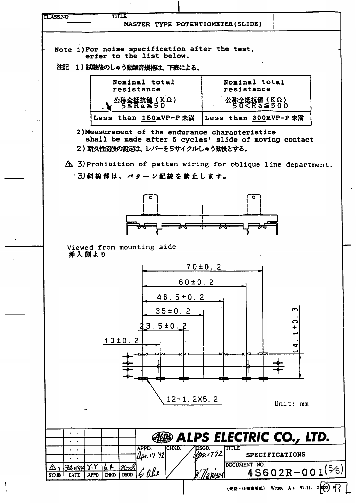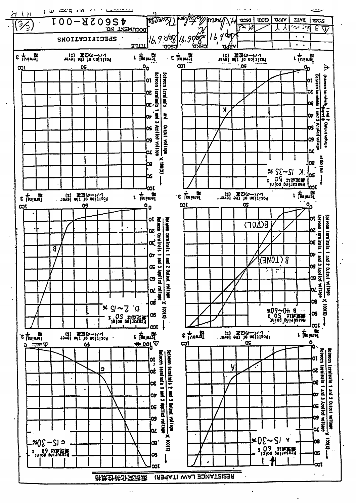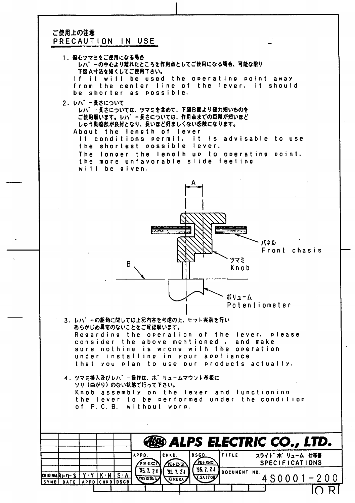## ご使用上の注意 PRECAUTION IN USE



 $\begin{array}{ccc} \hline \end{array}$  in the internal dependent of  $\begin{array}{ccc} \hline \end{array}$  in  $\begin{array}{ccc} \hline \end{array}$  in  $\begin{array}{ccc} \hline \end{array}$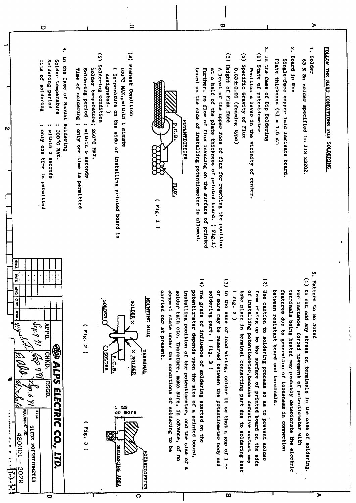| 4,<br>In the Case of Manual<br>Soldering period<br>Solder temperature<br><b>Hine</b><br>of soldering<br>Soldering<br><br><br>"XVH 2.00E<br>only one time is permitted<br>within 3 seconds                                                                                                                                                                     | $\mathbf{r}$<br>$\hat{c}$<br>Preheat Condition<br>Soldering Condition<br>100°C MAX., within 1 minute<br>Soldering period<br>Solder temperature;<br>Time of soldering ;<br>Temperature on the side of installing printed board<br>designated.<br>only one time is permitted<br>within 5 seconds<br>260°C MAX.<br>ă | ؽ<br>$\widehat{\epsilon}$<br>$\tilde{c}$<br>(1) State of potentiometer<br>In the Case of Dip Soldering<br>Single-face copper laid laminate board.<br>Plate thickness (t) = 1.6 mm<br>Height of Flux face<br>Specific Gravity of Flux<br>0.63±0.01 (foaming type)<br>Position a lever in the vicinity of center.<br>board on the side of installing potentiometer is allowed.<br>Further, no flow of flux invading on the surface of printed<br>a<br>4<br>A level of the upper face of flux for reaching the position<br>a half of the plate thickness of printed board. ( Fig.1)<br>POTENTIONETER<br>P.C.B.<br>$(18.1$ 1                                                                                                                                                                                                                                                                                                                                                                                                                              | ب<br>•<br>;"<br>FOLLOW THE NEXT CONDITIONS FOR SOLDERING<br>Solder<br>Board in Use<br>63 % Sn solder specified in JIS Z3282.                                                                                                                                |
|---------------------------------------------------------------------------------------------------------------------------------------------------------------------------------------------------------------------------------------------------------------------------------------------------------------------------------------------------------------|-------------------------------------------------------------------------------------------------------------------------------------------------------------------------------------------------------------------------------------------------------------------------------------------------------------------|-------------------------------------------------------------------------------------------------------------------------------------------------------------------------------------------------------------------------------------------------------------------------------------------------------------------------------------------------------------------------------------------------------------------------------------------------------------------------------------------------------------------------------------------------------------------------------------------------------------------------------------------------------------------------------------------------------------------------------------------------------------------------------------------------------------------------------------------------------------------------------------------------------------------------------------------------------------------------------------------------------------------------------------------------------|-------------------------------------------------------------------------------------------------------------------------------------------------------------------------------------------------------------------------------------------------------------|
| urus<br><b>DATE</b><br>٠<br>$\ddot{\phantom{0}}$<br>$\bullet$<br><b>AHA</b><br><b>Cana</b><br>$44.2$ 91<br><b>APPD.</b><br><b>ABD ALPS ELECTRIC</b><br>$ i\omega\sin\frac{\pi}{2}$<br>CHKD.<br><b>DSGD.</b><br>TREMODO<br>$\frac{1}{2}$<br><b>A Real Property Services</b><br><b>SLIDE</b><br>CO<br>$450001 -$<br>POTENTIONETER<br>LTD.<br>二十七十六<br>N202<br>O | န္တြ<br><b>SOLDER X</b><br>DER (<br>∽<br>F1g.<br>ن<br>ب<br><b>D</b> SOLDER<br><b>X SOLDER</b><br>r.c.<br> -<br>$\mathbf{1}$<br>mm<br>or more<br>(518.3)<br>SOLDERING AREA<br>$\overline{\mathbf{o}}$                                                                                                              | $\overline{a}$<br>$\hat{z}$<br>$\widehat{\omega}$<br>The gra<br>In the<br>Use caution<br>between<br>features due to<br>potentioneter depends upon the size of a printed board,<br>carried our at present.<br>abnoma<br>a<br>solder<br>or more may be<br>of lnstalling potentiometer, because defective contact may<br>installing position of the potentiometer,<br>solder:<br>take pl<br>from rising up to the surface of printed board on the side<br>(1118.<br>MOUNTING SIDE<br>ade of influence of soldering exerted on the<br>ing part. (Fig. 3)<br>lace in terminal connecting part due to soldering heat<br>N<br>bath etc. Hrenemone, Bake eche.<br>case of lead wiring, solder it so that a gap of<br>resistant board and terminals.<br>state under the conditions of soldering to be<br>to soldering process<br>reserved between the potentiometer body and<br>generation of looseness in connection<br><u>TERNINAL</u><br>ao as to prevent<br>in advance, of no<br>and the size<br>solder<br>POTENTIONETER<br>$\frac{10}{10}$<br>니<br>말<br>œ | ຸທ<br>່<br>(1) Do not<br>Matters to<br>For instance, forced movement of potentiometer with<br>terminals being heated may probably deteriorate the electric<br>add any stress on terminals in the case of soldering.<br>Be Noted<br>$\overline{\phantom{a}}$ |

 $\ddot{\mathbf{o}}$ 

 $\Box$ 

 $\mathbf{v}$ 

 $\sigma$ 

 $\triangleright$